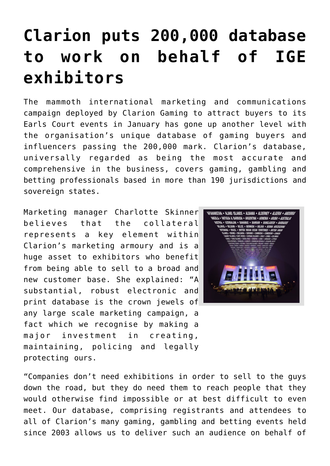## **[Clarion puts 200,000 database](https://www.isa-guide.de/english-news/articles/26344.html) [to work on behalf of IGE](https://www.isa-guide.de/english-news/articles/26344.html) [exhibitors](https://www.isa-guide.de/english-news/articles/26344.html)**

The mammoth international marketing and communications campaign deployed by Clarion Gaming to attract buyers to its Earls Court events in January has gone up another level with the organisation's unique database of gaming buyers and influencers passing the 200,000 mark. Clarion's database, universally regarded as being the most accurate and comprehensive in the business, covers gaming, gambling and betting professionals based in more than 190 jurisdictions and sovereign states.

Marketing manager Charlotte Skinner believes that the collateral represents a key element within Clarion's marketing armoury and is a huge asset to exhibitors who benefit from being able to sell to a broad and new customer base. She explained: "A substantial, robust electronic and print database is the crown jewels of any large scale marketing campaign, a fact which we recognise by making a major investment in creating, maintaining, policing and legally protecting ours.



"Companies don't need exhibitions in order to sell to the guys down the road, but they do need them to reach people that they would otherwise find impossible or at best difficult to even meet. Our database, comprising registrants and attendees to all of Clarion's many gaming, gambling and betting events held since 2003 allows us to deliver such an audience on behalf of